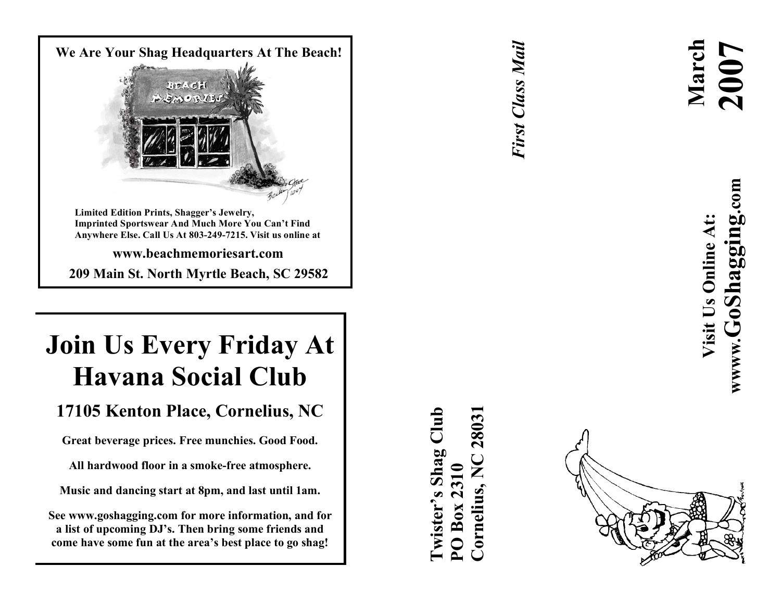

**209 Mai n S t . Nor t h Myr t l e B eac h , S C 29582**

# **Join Us Every Friday At Havana Social Club**

# 17105 Kenton Place, Cornelius, NC

Great beverage prices. Free munchies. Good Food.

All hardwood floor in a smoke-free atmosphere.

Music and dancing start at 8pm, and last until 1am.

**S e e w w w .gos haggi ng. com for mor e i n for mat ion , an d for** a list of upcoming DJ's. Then bring some friends and come have some fun at the area's best place to go shag!

*First Class Mail* **First Class Mail** 



**wwww.GoShagging.com** www.GoShagging.com Visit Us Online At: **Visit Us Online At:**

**March 2007**

**Cornelius, NC 28031** $\dim$ **Twister's Shag Club** 28031 Shag **PO Box 2310** Cornelius wister' Box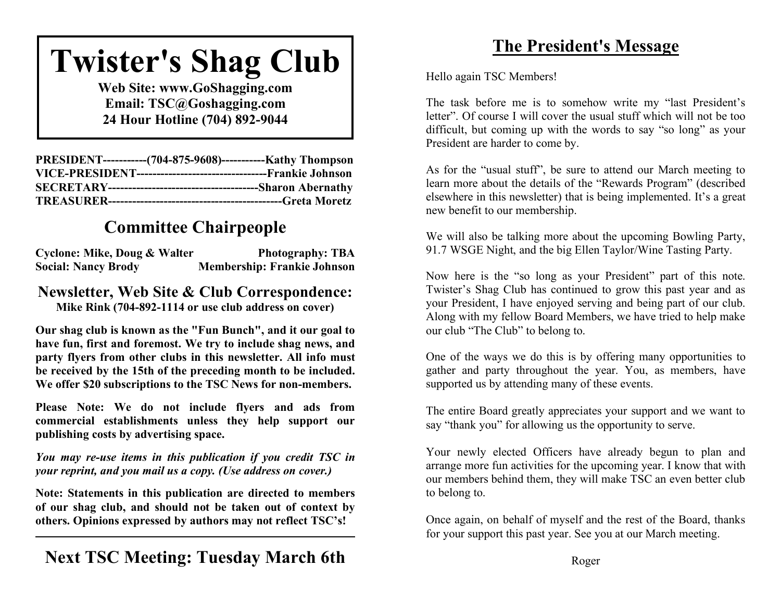# **Twister's Shag Club**

**Web Site: www.GoShagging.com Email: TSC@Goshagging.com 24 Hour Hotline (704) 892-9044**

| PRESIDENT------------(704-875-9608)------------Kathy Thompson |
|---------------------------------------------------------------|
|                                                               |
|                                                               |
|                                                               |

# **Committee Chairpeople**

| <b>Cyclone: Mike, Doug &amp; Walter</b> | <b>Photography: TBA</b>            |
|-----------------------------------------|------------------------------------|
| <b>Social: Nancy Brody</b>              | <b>Membership: Frankie Johnson</b> |

### **Newsletter, Web Site & Club Correspondence: Mike Rink (704-892-1114 or use club address on cover)**

**Our shag club is known as the "Fun Bunch", and it our goal to have fun, first and foremost. We try to include shag news, and party flyers from other clubs in this newsletter. All info must be received by the 15th of the preceding month to be included. We offer \$20 subscriptions to the TSC News for non-members.**

**Please Note: We do not include flyers and ads from commercial establishments unless they help support our publishing costs by advertising space.**

*You may re-use items in this publication if you credit TSC in your reprint, and you mail us a copy. (Use address on cover.)*

**Note: Statements in this publication are directed to members of our shag club, and should not be taken out of context by others. Opinions expressed by authors may not reflect TSC's!**

### **Next TSC Meeting: Tuesday March 6th**

# **The President's Message**

Hello again TSC Members!

The task before me is to somehow write my "last President's letter". Of course I will cover the usual stuff which will not be too difficult, but coming up with the words to say "so long" as your President are harder to come by.

As for the "usual stuff", be sure to attend our March meeting to learn more about the details of the "Rewards Program" (described elsewhere in this newsletter) that is being implemented. It's a great new benefit to our membership.

We will also be talking more about the upcoming Bowling Party, 91.7 WSGE Night, and the big Ellen Taylor/Wine Tasting Party.

Now here is the "so long as your President" part of this note. Twister's Shag Club has continued to grow this past year and as your President, I have enjoyed serving and being part of our club. Along with my fellow Board Members, we have tried to help make our club "The Club" to belong to.

One of the ways we do this is by offering many opportunities to gather and party throughout the year. You, as members, have supported us by attending many of these events.

The entire Board greatly appreciates your support and we want to say "thank you" for allowing us the opportunity to serve.

Your newly elected Officers have already begun to plan and arrange more fun activities for the upcoming year. I know that with our members behind them, they will make TSC an even better club to belong to.

Once again, on behalf of myself and the rest of the Board, thanks for your support this past year. See you at our March meeting.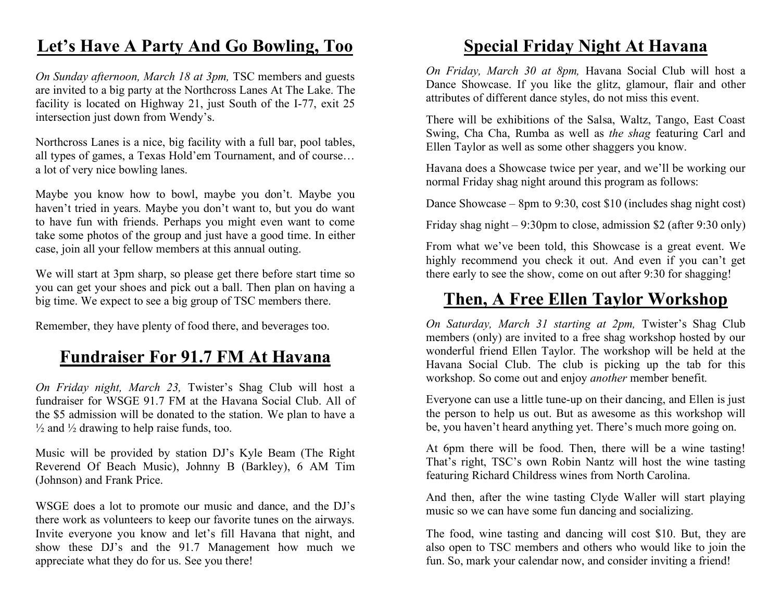### **Let's Have A Party And Go Bowling, Too**

*On Sunday afternoon, March 18 at 3pm,* TSC members and guests are invited to a big party at the Northcross Lanes At The Lake. The facility is located on Highway 21, just South of the I-77, exit 25 intersection just down from Wendy's.

Northcross Lanes is a nice, big facility with a full bar, pool tables, all types of games, a Texas Hold'em Tournament, and of course… a lot of very nice bowling lanes.

Maybe you know how to bowl, maybe you don't. Maybe you haven't tried in years. Maybe you don't want to, but you do want to have fun with friends. Perhaps you might even want to come take some photos of the group and just have a good time. In either case, join all your fellow members at this annual outing.

We will start at 3pm sharp, so please get there before start time so you can get your shoes and pick out a ball. Then plan on having a big time. We expect to see a big group of TSC members there.

Remember, they have plenty of food there, and beverages too.

### **Fundraiser For 91.7 FM At Havana**

*On Friday night, March 23,* Twister's Shag Club will host a fundraiser for WSGE 91.7 FM at the Havana Social Club. All of the \$5 admission will be donated to the station. We plan to have a  $\frac{1}{2}$  and  $\frac{1}{2}$  drawing to help raise funds, too.

Music will be provided by station DJ's Kyle Beam (The Right Reverend Of Beach Music), Johnny B (Barkley), 6 AM Tim (Johnson) and Frank Price.

WSGE does a lot to promote our music and dance, and the DJ's there work as volunteers to keep our favorite tunes on the airways. Invite everyone you know and let's fill Havana that night, and show these DJ's and the 91.7 Management how much we appreciate what they do for us. See you there!

### **Special Friday Night At Havana**

*On Friday, March 30 at 8pm,* Havana Social Club will host a Dance Showcase. If you like the glitz, glamour, flair and other attributes of different dance styles, do not miss this event.

There will be exhibitions of the Salsa, Waltz, Tango, East Coast Swing, Cha Cha, Rumba as well as *the shag* featuring Carl and Ellen Taylor as well as some other shaggers you know.

Havana does a Showcase twice per year, and we'll be working our normal Friday shag night around this program as follows:

Dance Showcase – 8pm to 9:30, cost \$10 (includes shag night cost)

Friday shag night  $-9:30 \text{pm}$  to close, admission \$2 (after 9:30 only)

From what we've been told, this Showcase is a great event. We highly recommend you check it out. And even if you can't get there early to see the show, come on out after 9:30 for shagging!

### **Then, A Free Ellen Taylor Workshop**

*On Saturday, March 31 starting at 2pm,* Twister's Shag Club members (only) are invited to a free shag workshop hosted by our wonderful friend Ellen Taylor. The workshop will be held at the Havana Social Club. The club is picking up the tab for this workshop. So come out and enjoy *another* member benefit.

Everyone can use a little tune-up on their dancing, and Ellen is just the person to help us out. But as awesome as this workshop will be, you haven't heard anything yet. There's much more going on.

At 6pm there will be food. Then, there will be a wine tasting! That's right, TSC's own Robin Nantz will host the wine tasting featuring Richard Childress wines from North Carolina.

And then, after the wine tasting Clyde Waller will start playing music so we can have some fun dancing and socializing.

The food, wine tasting and dancing will cost \$10. But, they are also open to TSC members and others who would like to join the fun. So, mark your calendar now, and consider inviting a friend!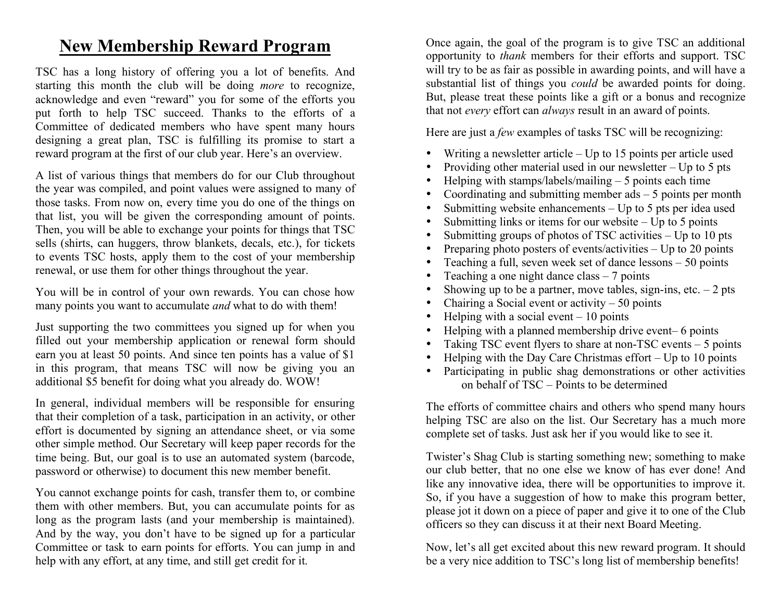### **New Membership Reward Program**

TSC has a long history of offering you a lot of benefits. And starting this month the club will be doing *more* to recognize, acknowledge and even "reward" you for some of the efforts you put forth to help TSC succeed. Thanks to the efforts of a Committee of dedicated members who have spent many hours designing a great plan, TSC is fulfilling its promise to start a reward program at the first of our club year. Here's an overview.

A list of various things that members do for our Club throughout the year was compiled, and point values were assigned to many of those tasks. From now on, every time you do one of the things on that list, you will be given the corresponding amount of points. Then, you will be able to exchange your points for things that TSC sells (shirts, can huggers, throw blankets, decals, etc.), for tickets to events TSC hosts, apply them to the cost of your membership renewal, or use them for other things throughout the year.

You will be in control of your own rewards. You can chose how many points you want to accumulate *and* what to do with them!

Just supporting the two committees you signed up for when you filled out your membership application or renewal form should earn you at least 50 points. And since ten points has a value of \$1 in this program, that means TSC will now be giving you an additional \$5 benefit for doing what you already do. WOW!

In general, individual members will be responsible for ensuring that their completion of a task, participation in an activity, or other effort is documented by signing an attendance sheet, or via some other simple method. Our Secretary will keep paper records for the time being. But, our goal is to use an automated system (barcode, password or otherwise) to document this new member benefit.

You cannot exchange points for cash, transfer them to, or combine them with other members. But, you can accumulate points for as long as the program lasts (and your membership is maintained). And by the way, you don't have to be signed up for a particular Committee or task to earn points for efforts. You can jump in and help with any effort, at any time, and still get credit for it.

Once again, the goal of the program is to give TSC an additional opportunity to *thank* members for their efforts and support. TSC will try to be as fair as possible in awarding points, and will have a substantial list of things you *could* be awarded points for doing. But, please treat these points like a gift or a bonus and recognize that not *every* effort can *always* result in an award of points.

Here are just a *few* examples of tasks TSC will be recognizing:

- Writing a newsletter article  $-$  Up to 15 points per article used
- Providing other material used in our newsletter  $-$  Up to 5 pts
- Helping with stamps/labels/mailing  $-5$  points each time
- Coordinating and submitting member  $ads 5$  points per month
- Submitting website enhancements  $-$  Up to 5 pts per idea used
- Submitting links or items for our website  $-$  Up to 5 points
- Submitting groups of photos of TSC activities Up to 10 pts
- Preparing photo posters of events/activities Up to 20 points
- Teaching a full, seven week set of dance lessons 50 points
- Teaching a one night dance class  $-7$  points
- Showing up to be a partner, move tables, sign-ins, etc.  $-2$  pts
- Chairing a Social event or activity  $-50$  points
- Helping with a social event  $-10$  points
- Helping with a planned membership drive event– 6 points
- Taking TSC event flyers to share at non-TSC events 5 points
- Helping with the Day Care Christmas effort  $-$  Up to 10 points
- Participating in public shag demonstrations or other activities on behalf of TSC – Points to be determined

The efforts of committee chairs and others who spend many hours helping TSC are also on the list. Our Secretary has a much more complete set of tasks. Just ask her if you would like to see it.

Twister's Shag Club is starting something new; something to make our club better, that no one else we know of has ever done! And like any innovative idea, there will be opportunities to improve it. So, if you have a suggestion of how to make this program better, please jot it down on a piece of paper and give it to one of the Club officers so they can discuss it at their next Board Meeting.

Now, let's all get excited about this new reward program. It should be a very nice addition to TSC's long list of membership benefits!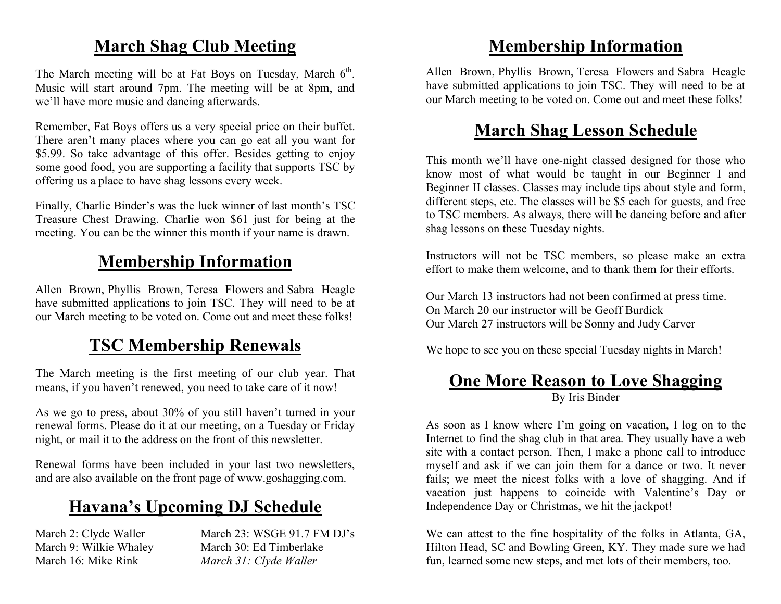# **March Shag Club Meeting**

The March meeting will be at Fat Boys on Tuesday, March  $6<sup>th</sup>$ . Music will start around 7pm. The meeting will be at 8pm, and we'll have more music and dancing afterwards.

Remember, Fat Boys offers us a very special price on their buffet. There aren't many places where you can go eat all you want for \$5.99. So take advantage of this offer. Besides getting to enjoy some good food, you are supporting a facility that supports TSC by offering us a place to have shag lessons every week.

Finally, Charlie Binder's was the luck winner of last month's TSC Treasure Chest Drawing. Charlie won \$61 just for being at the meeting. You can be the winner this month if your name is drawn.

### **Membership Information**

Allen Brown, Phyllis Brown, Teresa Flowers and Sabra Heagle have submitted applications to join TSC. They will need to be at our March meeting to be voted on. Come out and meet these folks!

# **TSC Membership Renewals**

The March meeting is the first meeting of our club year. That means, if you haven't renewed, you need to take care of it now!

As we go to press, about 30% of you still haven't turned in your renewal forms. Please do it at our meeting, on a Tuesday or Friday night, or mail it to the address on the front of this newsletter.

Renewal forms have been included in your last two newsletters, and are also available on the front page of www.goshagging.com.

# **Havana's Upcoming DJ Schedule**

March 2: Clyde Waller March 23: WSGE 91.7 FM DJ's March 9: Wilkie Whaley March 30: Ed Timberlake March 16: Mike Rink *March 31: Clyde Waller*

### **Membership Information**

Allen Brown, Phyllis Brown, Teresa Flowers and Sabra Heagle have submitted applications to join TSC. They will need to be at our March meeting to be voted on. Come out and meet these folks!

### **March Shag Lesson Schedule**

This month we'll have one-night classed designed for those who know most of what would be taught in our Beginner I and Beginner II classes. Classes may include tips about style and form, different steps, etc. The classes will be \$5 each for guests, and free to TSC members. As always, there will be dancing before and after shag lessons on these Tuesday nights.

Instructors will not be TSC members, so please make an extra effort to make them welcome, and to thank them for their efforts.

Our March 13 instructors had not been confirmed at press time. On March 20 our instructor will be Geoff Burdick Our March 27 instructors will be Sonny and Judy Carver

We hope to see you on these special Tuesday nights in March!

### **One More Reason to Love Shagging** By Iris Binder

As soon as I know where I'm going on vacation, I log on to the Internet to find the shag club in that area. They usually have a web site with a contact person. Then, I make a phone call to introduce myself and ask if we can join them for a dance or two. It never fails; we meet the nicest folks with a love of shagging. And if vacation just happens to coincide with Valentine's Day or Independence Day or Christmas, we hit the jackpot!

We can attest to the fine hospitality of the folks in Atlanta, GA, Hilton Head, SC and Bowling Green, KY. They made sure we had fun, learned some new steps, and met lots of their members, too.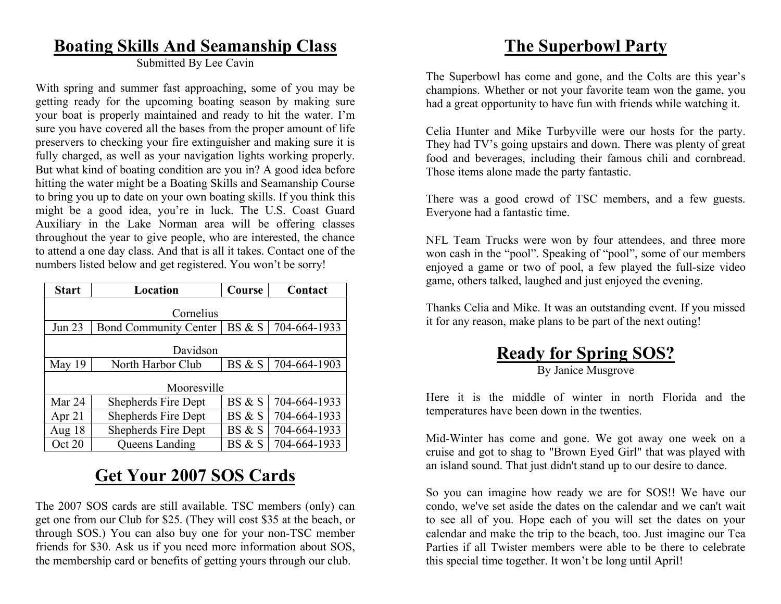### **Boating Skills And Seamanship Class**

Submitted By Lee Cavin

With spring and summer fast approaching, some of you may be getting ready for the upcoming boating season by making sure your boat is properly maintained and ready to hit the water. I'm sure you have covered all the bases from the proper amount of life preservers to checking your fire extinguisher and making sure it is fully charged, as well as your navigation lights working properly. But what kind of boating condition are you in? A good idea before hitting the water might be a Boating Skills and Seamanship Course to bring you up to date on your own boating skills. If you think this might be a good idea, you're in luck. The U.S. Coast Guard Auxiliary in the Lake Norman area will be offering classes throughout the year to give people, who are interested, the chance to attend a one day class. And that is all it takes. Contact one of the numbers listed below and get registered. You won't be sorry!

| <b>Start</b>  | Location                     | Course | Contact      |  |  |
|---------------|------------------------------|--------|--------------|--|--|
| Cornelius     |                              |        |              |  |  |
| <b>Jun 23</b> | <b>Bond Community Center</b> | BS & S | 704-664-1933 |  |  |
| Davidson      |                              |        |              |  |  |
| May 19        | North Harbor Club            | BS & S | 704-664-1903 |  |  |
| Mooresville   |                              |        |              |  |  |
| Mar 24        | Shepherds Fire Dept          | BS & S | 704-664-1933 |  |  |
| Apr $21$      | Shepherds Fire Dept          | BS & S | 704-664-1933 |  |  |
| Aug 18        | Shepherds Fire Dept          | BS & S | 704-664-1933 |  |  |
| Oct 20        | <b>Queens Landing</b>        | BS & S | 704-664-1933 |  |  |

# **Get Your 2007 SOS Cards**

The 2007 SOS cards are still available. TSC members (only) can get one from our Club for \$25. (They will cost \$35 at the beach, or through SOS.) You can also buy one for your non-TSC member friends for \$30. Ask us if you need more information about SOS, the membership card or benefits of getting yours through our club.

### **The Superbowl Party**

The Superbowl has come and gone, and the Colts are this year's champions. Whether or not your favorite team won the game, you had a great opportunity to have fun with friends while watching it.

Celia Hunter and Mike Turbyville were our hosts for the party. They had TV's going upstairs and down. There was plenty of great food and beverages, including their famous chili and cornbread. Those items alone made the party fantastic.

There was a good crowd of TSC members, and a few guests. Everyone had a fantastic time.

NFL Team Trucks were won by four attendees, and three more won cash in the "pool". Speaking of "pool", some of our members enjoyed a game or two of pool, a few played the full-size video game, others talked, laughed and just enjoyed the evening.

Thanks Celia and Mike. It was an outstanding event. If you missed it for any reason, make plans to be part of the next outing!

### **Ready for Spring SOS?** By Janice Musgrove

Here it is the middle of winter in north Florida and the temperatures have been down in the twenties.

Mid-Winter has come and gone. We got away one week on a cruise and got to shag to "Brown Eyed Girl" that was played with an island sound. That just didn't stand up to our desire to dance.

So you can imagine how ready we are for SOS!! We have our condo, we've set aside the dates on the calendar and we can't wait to see all of you. Hope each of you will set the dates on your calendar and make the trip to the beach, too. Just imagine our Tea Parties if all Twister members were able to be there to celebrate this special time together. It won't be long until April!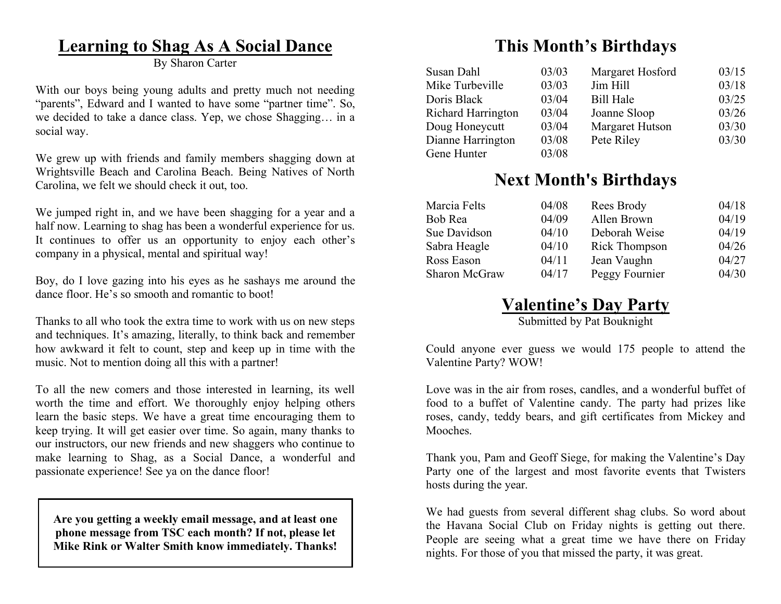### **Learning to Shag As A Social Dance**

By Sharon Carter

With our boys being young adults and pretty much not needing "parents", Edward and I wanted to have some "partner time". So, we decided to take a dance class. Yep, we chose Shagging… in a social way.

We grew up with friends and family members shagging down at Wrightsville Beach and Carolina Beach. Being Natives of North Carolina, we felt we should check it out, too.

We jumped right in, and we have been shagging for a year and a half now. Learning to shag has been a wonderful experience for us. It continues to offer us an opportunity to enjoy each other's company in a physical, mental and spiritual way!

Boy, do I love gazing into his eyes as he sashays me around the dance floor. He's so smooth and romantic to boot!

Thanks to all who took the extra time to work with us on new steps and techniques. It's amazing, literally, to think back and remember how awkward it felt to count, step and keep up in time with the music. Not to mention doing all this with a partner!

To all the new comers and those interested in learning, its well worth the time and effort. We thoroughly enjoy helping others learn the basic steps. We have a great time encouraging them to keep trying. It will get easier over time. So again, many thanks to our instructors, our new friends and new shaggers who continue to make learning to Shag, as a Social Dance, a wonderful and passionate experience! See ya on the dance floor!

**Are you getting a weekly email message, and at least one phone message from TSC each month? If not, please let Mike Rink or Walter Smith know immediately. Thanks!**

# **This Month's Birthdays**

| Susan Dahl         | 03/03 | Margaret Hosford | 03/15 |
|--------------------|-------|------------------|-------|
| Mike Turbeville    | 03/03 | Jim Hill         | 03/18 |
| Doris Black        | 03/04 | <b>Bill Hale</b> | 03/25 |
| Richard Harrington | 03/04 | Joanne Sloop     | 03/26 |
| Doug Honeycutt     | 03/04 | Margaret Hutson  | 03/30 |
| Dianne Harrington  | 03/08 | Pete Riley       | 03/30 |
| Gene Hunter        | 03/08 |                  |       |

### **Next Month's Birthdays**

| Marcia Felts  | 04/08 | Rees Brody     | 04/18 |
|---------------|-------|----------------|-------|
| Bob Rea       | 04/09 | Allen Brown    | 04/19 |
| Sue Davidson  | 04/10 | Deborah Weise  | 04/19 |
| Sabra Heagle  | 04/10 | Rick Thompson  | 04/26 |
| Ross Eason    | 04/11 | Jean Vaughn    | 04/27 |
| Sharon McGraw | 04/17 | Peggy Fournier | 04/30 |

### **Valentine's Day Party**

Submitted by Pat Bouknight

Could anyone ever guess we would 175 people to attend the Valentine Party? WOW!

Love was in the air from roses, candles, and a wonderful buffet of food to a buffet of Valentine candy. The party had prizes like roses, candy, teddy bears, and gift certificates from Mickey and **Mooches** 

Thank you, Pam and Geoff Siege, for making the Valentine's Day Party one of the largest and most favorite events that Twisters hosts during the year.

We had guests from several different shag clubs. So word about the Havana Social Club on Friday nights is getting out there. People are seeing what a great time we have there on Friday nights. For those of you that missed the party, it was great.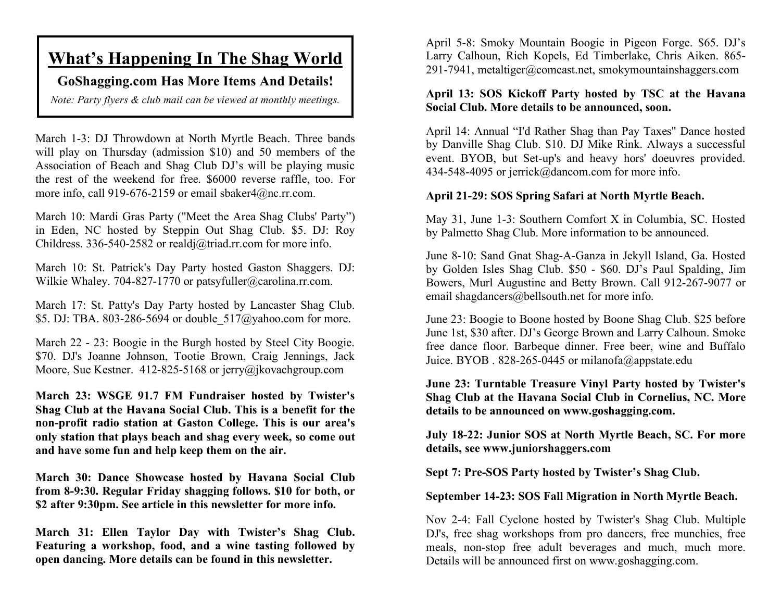### **What's Happening In The Shag World**

### **GoShagging.com Has More Items And Details!**

*Note: Party flyers & club mail can be viewed at monthly meetings.*

March 1-3: DJ Throwdown at North Myrtle Beach. Three bands will play on Thursday (admission \$10) and 50 members of the Association of Beach and Shag Club DJ's will be playing music the rest of the weekend for free. \$6000 reverse raffle, too. For more info, call 919-676-2159 or email sbaker4@nc.rr.com.

March 10: Mardi Gras Party ("Meet the Area Shag Clubs' Party") in Eden, NC hosted by Steppin Out Shag Club. \$5. DJ: Roy Childress. 336-540-2582 or realdj@triad.rr.com for more info.

March 10: St. Patrick's Day Party hosted Gaston Shaggers. DJ: Wilkie Whaley. 704-827-1770 or patsyfuller@carolina.rr.com.

March 17: St. Patty's Day Party hosted by Lancaster Shag Club. \$5. DJ: TBA. 803-286-5694 or double\_517@yahoo.com for more.

March 22 - 23: Boogie in the Burgh hosted by Steel City Boogie. \$70. DJ's Joanne Johnson, Tootie Brown, Craig Jennings, Jack Moore, Sue Kestner. 412-825-5168 or jerry@jkovachgroup.com

**March 23: WSGE 91.7 FM Fundraiser hosted by Twister's Shag Club at the Havana Social Club. This is a benefit for the non-profit radio station at Gaston College. This is our area's only station that plays beach and shag every week, so come out and have some fun and help keep them on the air.**

**March 30: Dance Showcase hosted by Havana Social Club from 8-9:30. Regular Friday shagging follows. \$10 for both, or \$2 after 9:30pm. See article in this newsletter for more info.**

**March 31: Ellen Taylor Day with Twister's Shag Club. Featuring a workshop, food, and a wine tasting followed by open dancing. More details can be found in this newsletter.**

April 5-8: Smoky Mountain Boogie in Pigeon Forge. \$65. DJ's Larry Calhoun, Rich Kopels, Ed Timberlake, Chris Aiken. 865- 291-7941, metaltiger@comcast.net, smokymountainshaggers.com

#### **April 13: SOS Kickoff Party hosted by TSC at the Havana Social Club. More details to be announced, soon.**

April 14: Annual "I'd Rather Shag than Pay Taxes" Dance hosted by Danville Shag Club. \$10. DJ Mike Rink. Always a successful event. BYOB, but Set-up's and heavy hors' doeuvres provided. 434-548-4095 or jerrick@dancom.com for more info.

#### **April 21-29: SOS Spring Safari at North Myrtle Beach.**

May 31, June 1-3: Southern Comfort X in Columbia, SC. Hosted by Palmetto Shag Club. More information to be announced.

June 8-10: Sand Gnat Shag-A-Ganza in Jekyll Island, Ga. Hosted by Golden Isles Shag Club. \$50 - \$60. DJ's Paul Spalding, Jim Bowers, Murl Augustine and Betty Brown. Call 912-267-9077 or email shagdancers@bellsouth.net for more info.

June 23: Boogie to Boone hosted by Boone Shag Club. \$25 before June 1st, \$30 after. DJ's George Brown and Larry Calhoun. Smoke free dance floor. Barbeque dinner. Free beer, wine and Buffalo Juice. BYOB . 828-265-0445 or milanofa@appstate.edu

**June 23: Turntable Treasure Vinyl Party hosted by Twister's Shag Club at the Havana Social Club in Cornelius, NC. More details to be announced on www.goshagging.com.**

**July 18-22: Junior SOS at North Myrtle Beach, SC. For more details, see www.juniorshaggers.com**

**Sept 7: Pre-SOS Party hosted by Twister's Shag Club.**

**September 14-23: SOS Fall Migration in North Myrtle Beach.**

Nov 2-4: Fall Cyclone hosted by Twister's Shag Club. Multiple DJ's, free shag workshops from pro dancers, free munchies, free meals, non-stop free adult beverages and much, much more. Details will be announced first on www.goshagging.com.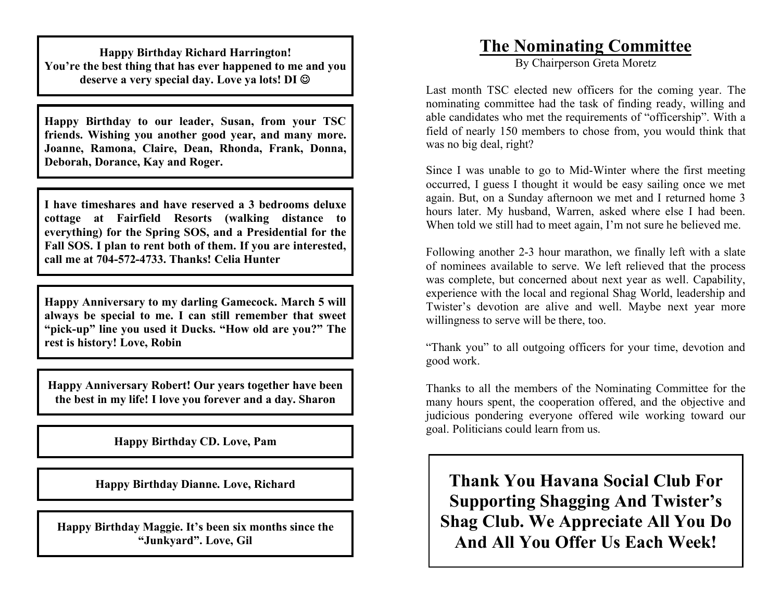**Happy Birthday Richard Harrington! You're the best thing that has ever happened to me and you deserve a very special day. Love ya lots! DI**

**Happy Birthday to our leader, Susan, from your TSC friends. Wishing you another good year, and many more. Joanne, Ramona, Claire, Dean, Rhonda, Frank, Donna, Deborah, Dorance, Kay and Roger.**

**I have timeshares and have reserved a 3 bedrooms deluxe cottage at Fairfield Resorts (walking distance to everything) for the Spring SOS, and a Presidential for the Fall SOS. I plan to rent both of them. If you are interested, call me at 704-572-4733. Thanks! Celia Hunter**

**Happy Anniversary to my darling Gamecock. March 5 will always be special to me. I can still remember that sweet "pick-up" line you used it Ducks. "How old are you?" The rest is history! Love, Robin**

**Happy Anniversary Robert! Our years together have been the best in my life! I love you forever and a day. Sharon**

### **Happy Birthday CD. Love, Pam**

**Happy Birthday Dianne. Love, Richard**

**Happy Birthday Maggie. It's been six months since the "Junkyard". Love, Gil**

### **The Nominating Committee**

By Chairperson Greta Moretz

Last month TSC elected new officers for the coming year. The nominating committee had the task of finding ready, willing and able candidates who met the requirements of "officership". With a field of nearly 150 members to chose from, you would think that was no big deal, right?

Since I was unable to go to Mid-Winter where the first meeting occurred, I guess I thought it would be easy sailing once we met again. But, on a Sunday afternoon we met and I returned home 3 hours later. My husband, Warren, asked where else I had been. When told we still had to meet again, I'm not sure he believed me.

Following another 2-3 hour marathon, we finally left with a slate of nominees available to serve. We left relieved that the process was complete, but concerned about next year as well. Capability, experience with the local and regional Shag World, leadership and Twister's devotion are alive and well. Maybe next year more willingness to serve will be there, too.

"Thank you" to all outgoing officers for your time, devotion and good work.

Thanks to all the members of the Nominating Committee for the many hours spent, the cooperation offered, and the objective and judicious pondering everyone offered wile working toward our goal. Politicians could learn from us.

**Thank You Havana Social Club For Supporting Shagging And Twister's Shag Club. We Appreciate All You Do And All You Offer Us Each Week!**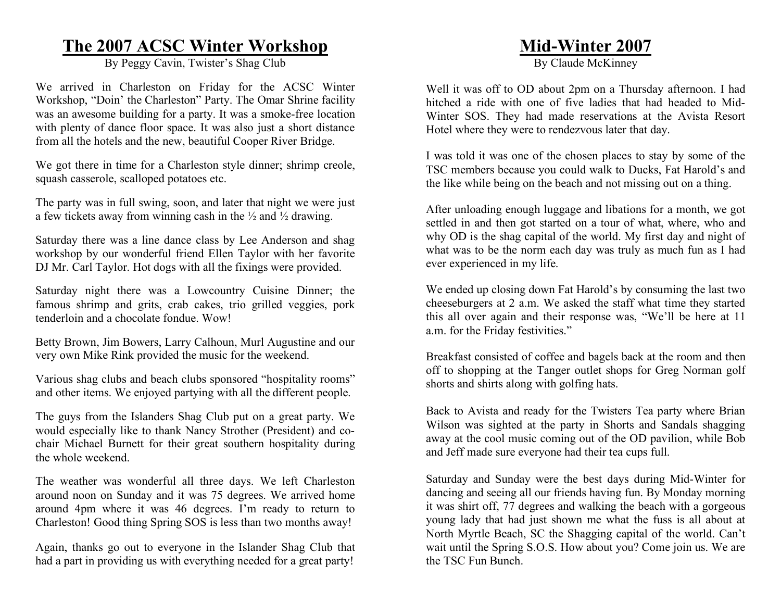### **The 2007 ACSC Winter Workshop**

By Peggy Cavin, Twister's Shag Club

We arrived in Charleston on Friday for the ACSC Winter Workshop, "Doin' the Charleston" Party. The Omar Shrine facility was an awesome building for a party. It was a smoke-free location with plenty of dance floor space. It was also just a short distance from all the hotels and the new, beautiful Cooper River Bridge.

We got there in time for a Charleston style dinner; shrimp creole, squash casserole, scalloped potatoes etc.

The party was in full swing, soon, and later that night we were just a few tickets away from winning cash in the  $\frac{1}{2}$  and  $\frac{1}{2}$  drawing.

Saturday there was a line dance class by Lee Anderson and shag workshop by our wonderful friend Ellen Taylor with her favorite DJ Mr. Carl Taylor. Hot dogs with all the fixings were provided.

Saturday night there was a Lowcountry Cuisine Dinner; the famous shrimp and grits, crab cakes, trio grilled veggies, pork tenderloin and a chocolate fondue. Wow!

Betty Brown, Jim Bowers, Larry Calhoun, Murl Augustine and our very own Mike Rink provided the music for the weekend.

Various shag clubs and beach clubs sponsored "hospitality rooms" and other items. We enjoyed partying with all the different people.

The guys from the Islanders Shag Club put on a great party. We would especially like to thank Nancy Strother (President) and cochair Michael Burnett for their great southern hospitality during the whole weekend.

The weather was wonderful all three days. We left Charleston around noon on Sunday and it was 75 degrees. We arrived home around 4pm where it was 46 degrees. I'm ready to return to Charleston! Good thing Spring SOS is less than two months away!

Again, thanks go out to everyone in the Islander Shag Club that had a part in providing us with everything needed for a great party!

### **Mid-Winter 2007**

By Claude McKinney

Well it was off to OD about 2pm on a Thursday afternoon. I had hitched a ride with one of five ladies that had headed to Mid-Winter SOS. They had made reservations at the Avista Resort Hotel where they were to rendezvous later that day.

I was told it was one of the chosen places to stay by some of the TSC members because you could walk to Ducks, Fat Harold's and the like while being on the beach and not missing out on a thing.

After unloading enough luggage and libations for a month, we got settled in and then got started on a tour of what, where, who and why OD is the shag capital of the world. My first day and night of what was to be the norm each day was truly as much fun as I had ever experienced in my life.

We ended up closing down Fat Harold's by consuming the last two cheeseburgers at 2 a.m. We asked the staff what time they started this all over again and their response was, "We'll be here at 11 a.m. for the Friday festivities."

Breakfast consisted of coffee and bagels back at the room and then off to shopping at the Tanger outlet shops for Greg Norman golf shorts and shirts along with golfing hats.

Back to Avista and ready for the Twisters Tea party where Brian Wilson was sighted at the party in Shorts and Sandals shagging away at the cool music coming out of the OD pavilion, while Bob and Jeff made sure everyone had their tea cups full.

Saturday and Sunday were the best days during Mid-Winter for dancing and seeing all our friends having fun. By Monday morning it was shirt off, 77 degrees and walking the beach with a gorgeous young lady that had just shown me what the fuss is all about at North Myrtle Beach, SC the Shagging capital of the world. Can't wait until the Spring S.O.S. How about you? Come join us. We are the TSC Fun Bunch.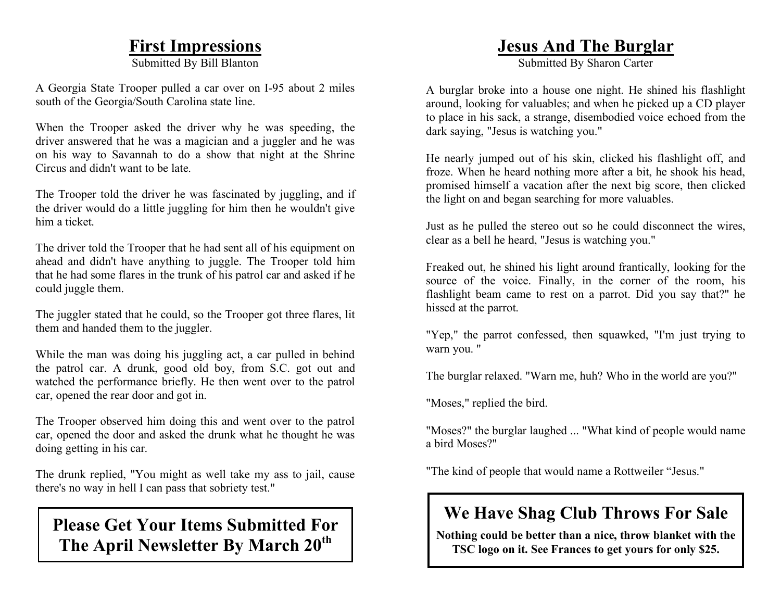### **First Impressions**

Submitted By Bill Blanton

A Georgia State Trooper pulled a car over on I-95 about 2 miles south of the Georgia/South Carolina state line.

When the Trooper asked the driver why he was speeding, the driver answered that he was a magician and a juggler and he was on his way to Savannah to do a show that night at the Shrine Circus and didn't want to be late.

The Trooper told the driver he was fascinated by juggling, and if the driver would do a little juggling for him then he wouldn't give him a ticket.

The driver told the Trooper that he had sent all of his equipment on ahead and didn't have anything to juggle. The Trooper told him that he had some flares in the trunk of his patrol car and asked if he could juggle them.

The juggler stated that he could, so the Trooper got three flares, lit them and handed them to the juggler.

While the man was doing his juggling act, a car pulled in behind the patrol car. A drunk, good old boy, from S.C. got out and watched the performance briefly. He then went over to the patrol car, opened the rear door and got in.

The Trooper observed him doing this and went over to the patrol car, opened the door and asked the drunk what he thought he was doing getting in his car.

The drunk replied, "You might as well take my ass to jail, cause there's no way in hell I can pass that sobriety test."

### **Please Get Your Items Submitted For The April Newsletter By March 20th**

### **Jesus And The Burglar**

Submitted By Sharon Carter

A burglar broke into a house one night. He shined his flashlight around, looking for valuables; and when he picked up a CD player to place in his sack, a strange, disembodied voice echoed from the dark saying, "Jesus is watching you."

He nearly jumped out of his skin, clicked his flashlight off, and froze. When he heard nothing more after a bit, he shook his head, promised himself a vacation after the next big score, then clicked the light on and began searching for more valuables.

Just as he pulled the stereo out so he could disconnect the wires, clear as a bell he heard, "Jesus is watching you."

Freaked out, he shined his light around frantically, looking for the source of the voice. Finally, in the corner of the room, his flashlight beam came to rest on a parrot. Did you say that?" he hissed at the parrot.

"Yep," the parrot confessed, then squawked, "I'm just trying to warn you. "

The burglar relaxed. "Warn me, huh? Who in the world are you?"

"Moses," replied the bird.

"Moses?" the burglar laughed ... "What kind of people would name a bird Moses?"

"The kind of people that would name a Rottweiler "Jesus."

# **We Have Shag Club Throws For Sale**

**Nothing could be better than a nice, throw blanket with the TSC logo on it. See Frances to get yours for only \$25.**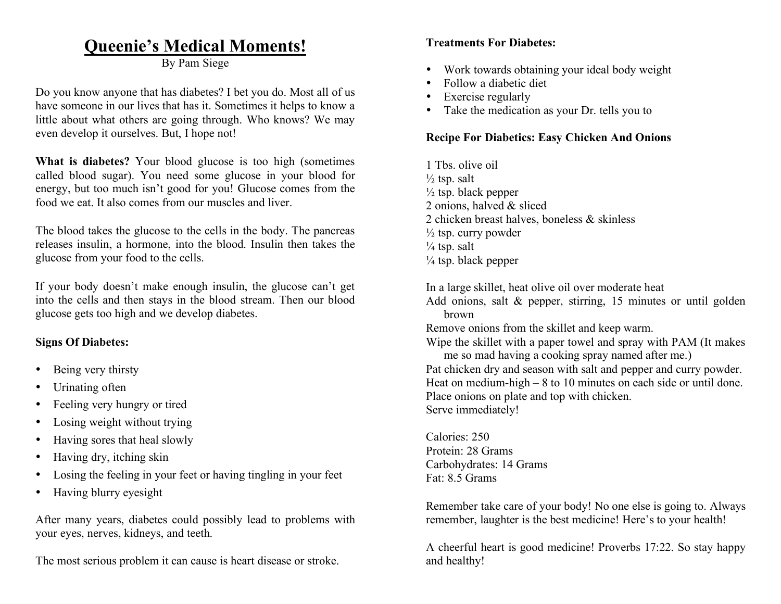### **Queenie's Medical Moments!**

By Pam Siege

Do you know anyone that has diabetes? I bet you do. Most all of us have someone in our lives that has it. Sometimes it helps to know a little about what others are going through. Who knows? We may even develop it ourselves. But, I hope not!

**What is diabetes?** Your blood glucose is too high (sometimes called blood sugar). You need some glucose in your blood for energy, but too much isn't good for you! Glucose comes from the food we eat. It also comes from our muscles and liver.

The blood takes the glucose to the cells in the body. The pancreas releases insulin, a hormone, into the blood. Insulin then takes the glucose from your food to the cells.

If your body doesn't make enough insulin, the glucose can't get into the cells and then stays in the blood stream. Then our blood glucose gets too high and we develop diabetes.

#### **Signs Of Diabetes:**

- Being very thirsty
- Urinating often
- Feeling very hungry or tired
- Losing weight without trying
- Having sores that heal slowly
- Having dry, itching skin
- Losing the feeling in your feet or having tingling in your feet
- Having blurry eyesight

After many years, diabetes could possibly lead to problems with your eyes, nerves, kidneys, and teeth.

The most serious problem it can cause is heart disease or stroke.

#### **Treatments For Diabetes:**

- Work towards obtaining your ideal body weight
- Follow a diabetic diet
- Exercise regularly
- Take the medication as your Dr. tells you to

#### **Recipe For Diabetics: Easy Chicken And Onions**

1 Tbs. olive oil  $\frac{1}{2}$  tsp. salt  $\frac{1}{2}$  tsp. black pepper 2 onions, halved & sliced 2 chicken breast halves, boneless & skinless  $\frac{1}{2}$  tsp. curry powder  $\frac{1}{4}$  tsp. salt  $\frac{1}{4}$  tsp. black pepper

In a large skillet, heat olive oil over moderate heat Add onions, salt & pepper, stirring, 15 minutes or until golden brown

Remove onions from the skillet and keep warm.

Wipe the skillet with a paper towel and spray with PAM (It makes me so mad having a cooking spray named after me.) Pat chicken dry and season with salt and pepper and curry powder. Heat on medium-high – 8 to 10 minutes on each side or until done. Place onions on plate and top with chicken. Serve immediately!

Calories: 250 Protein: 28 Grams Carbohydrates: 14 Grams Fat: 8.5 Grams

Remember take care of your body! No one else is going to. Always remember, laughter is the best medicine! Here's to your health!

A cheerful heart is good medicine! Proverbs 17:22. So stay happy and healthy!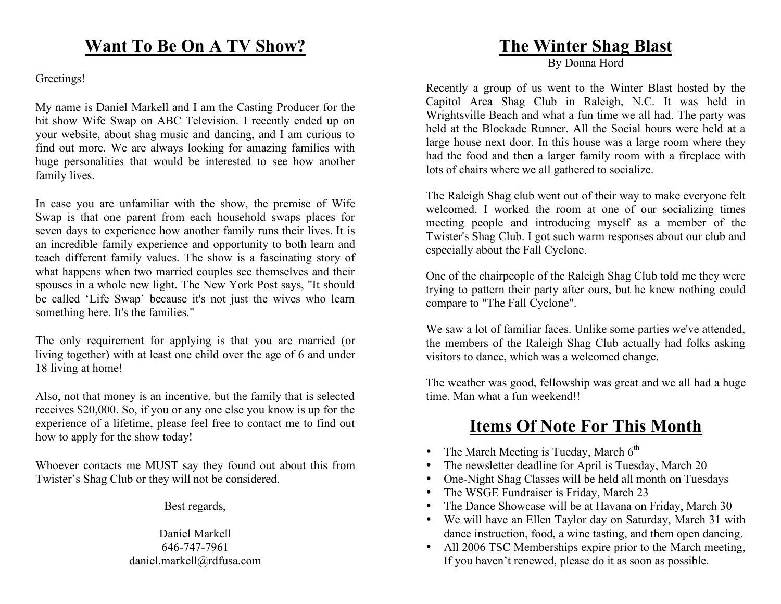#### Greetings!

My name is Daniel Markell and I am the Casting Producer for the hit show Wife Swap on ABC Television. I recently ended up on your website, about shag music and dancing, and I am curious to find out more. We are always looking for amazing families with huge personalities that would be interested to see how another family lives.

In case you are unfamiliar with the show, the premise of Wife Swap is that one parent from each household swaps places for seven days to experience how another family runs their lives. It is an incredible family experience and opportunity to both learn and teach different family values. The show is a fascinating story of what happens when two married couples see themselves and their spouses in a whole new light. The New York Post says, "It should be called 'Life Swap' because it's not just the wives who learn something here. It's the families."

The only requirement for applying is that you are married (or living together) with at least one child over the age of 6 and under 18 living at home!

Also, not that money is an incentive, but the family that is selected receives \$20,000. So, if you or any one else you know is up for the experience of a lifetime, please feel free to contact me to find out how to apply for the show today!

Whoever contacts me MUST say they found out about this from Twister's Shag Club or they will not be considered.

Best regards,

Daniel Markell 646-747-7961 daniel.markell@rdfusa.com

### **The Winter Shag Blast**

By Donna Hord

Recently a group of us went to the Winter Blast hosted by the Capitol Area Shag Club in Raleigh, N.C. It was held in Wrightsville Beach and what a fun time we all had. The party was held at the Blockade Runner. All the Social hours were held at a large house next door. In this house was a large room where they had the food and then a larger family room with a fireplace with lots of chairs where we all gathered to socialize.

The Raleigh Shag club went out of their way to make everyone felt welcomed. I worked the room at one of our socializing times meeting people and introducing myself as a member of the Twister's Shag Club. I got such warm responses about our club and especially about the Fall Cyclone.

One of the chairpeople of the Raleigh Shag Club told me they were trying to pattern their party after ours, but he knew nothing could compare to "The Fall Cyclone".

We saw a lot of familiar faces. Unlike some parties we've attended, the members of the Raleigh Shag Club actually had folks asking visitors to dance, which was a welcomed change.

The weather was good, fellowship was great and we all had a huge time. Man what a fun weekend!!

# **Items Of Note For This Month**

- The March Meeting is Tueday, March  $6<sup>th</sup>$
- The newsletter deadline for April is Tuesday, March 20
- One-Night Shag Classes will be held all month on Tuesdays
- The WSGE Fundraiser is Friday, March 23
- The Dance Showcase will be at Havana on Friday, March 30
- We will have an Ellen Taylor day on Saturday, March 31 with dance instruction, food, a wine tasting, and them open dancing.
- All 2006 TSC Memberships expire prior to the March meeting, If you haven't renewed, please do it as soon as possible.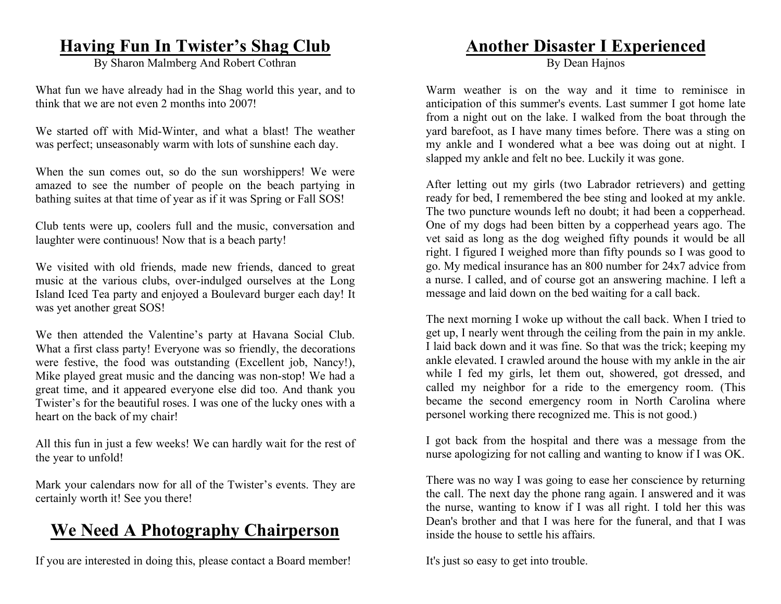### **Having Fun In Twister's Shag Club**

By Sharon Malmberg And Robert Cothran

What fun we have already had in the Shag world this year, and to think that we are not even 2 months into 2007!

We started off with Mid-Winter, and what a blast! The weather was perfect; unseasonably warm with lots of sunshine each day.

When the sun comes out, so do the sun worshippers! We were amazed to see the number of people on the beach partying in bathing suites at that time of year as if it was Spring or Fall SOS!

Club tents were up, coolers full and the music, conversation and laughter were continuous! Now that is a beach party!

We visited with old friends, made new friends, danced to great music at the various clubs, over-indulged ourselves at the Long Island Iced Tea party and enjoyed a Boulevard burger each day! It was yet another great SOS!

We then attended the Valentine's party at Havana Social Club. What a first class party! Everyone was so friendly, the decorations were festive, the food was outstanding (Excellent job, Nancy!), Mike played great music and the dancing was non-stop! We had a great time, and it appeared everyone else did too. And thank you Twister's for the beautiful roses. I was one of the lucky ones with a heart on the back of my chair!

All this fun in just a few weeks! We can hardly wait for the rest of the year to unfold!

Mark your calendars now for all of the Twister's events. They are certainly worth it! See you there!

### **We Need A Photography Chairperson**

If you are interested in doing this, please contact a Board member!

### **Another Disaster I Experienced**

By Dean Hajnos

Warm weather is on the way and it time to reminisce in anticipation of this summer's events. Last summer I got home late from a night out on the lake. I walked from the boat through the yard barefoot, as I have many times before. There was a sting on my ankle and I wondered what a bee was doing out at night. I slapped my ankle and felt no bee. Luckily it was gone.

After letting out my girls (two Labrador retrievers) and getting ready for bed, I remembered the bee sting and looked at my ankle. The two puncture wounds left no doubt; it had been a copperhead. One of my dogs had been bitten by a copperhead years ago. The vet said as long as the dog weighed fifty pounds it would be all right. I figured I weighed more than fifty pounds so I was good to go. My medical insurance has an 800 number for 24x7 advice from a nurse. I called, and of course got an answering machine. I left a message and laid down on the bed waiting for a call back.

The next morning I woke up without the call back. When I tried to get up, I nearly went through the ceiling from the pain in my ankle. I laid back down and it was fine. So that was the trick; keeping my ankle elevated. I crawled around the house with my ankle in the air while I fed my girls, let them out, showered, got dressed, and called my neighbor for a ride to the emergency room. (This became the second emergency room in North Carolina where personel working there recognized me. This is not good.)

I got back from the hospital and there was a message from the nurse apologizing for not calling and wanting to know if I was OK.

There was no way I was going to ease her conscience by returning the call. The next day the phone rang again. I answered and it was the nurse, wanting to know if I was all right. I told her this was Dean's brother and that I was here for the funeral, and that I was inside the house to settle his affairs.

It's just so easy to get into trouble.